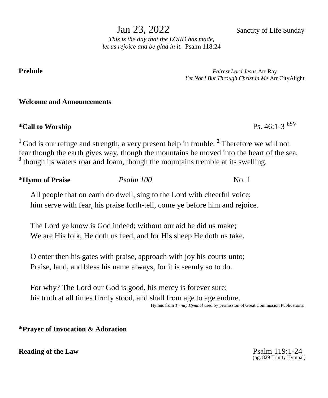Jan 23, 2022 Sanctity of Life Sunday

*This is the day that the LORD has made, let us rejoice and be glad in it.* Psalm 118:24

**Prelude** *Fairest Lord Jesus* Arr Ray *Yet Not I But Through Christ in Me* Arr CityAlight

### **Welcome and Announcements**

 $*$ **Call to Worship** 

Ps.  $46:1-3$ <sup>ESV</sup>

<sup>1</sup> God is our refuge and strength, a very present help in trouble.<sup>2</sup> Therefore we will not fear though the earth gives way, though the mountains be moved into the heart of the sea, <sup>3</sup> though its waters roar and foam, though the mountains tremble at its swelling.

**\*Hymn of Praise** *Psalm 100* No. 1

All people that on earth do dwell, sing to the Lord with cheerful voice; him serve with fear, his praise forth-tell, come ye before him and rejoice.

The Lord ye know is God indeed; without our aid he did us make; We are His folk, He doth us feed, and for His sheep He doth us take.

O enter then his gates with praise, approach with joy his courts unto; Praise, laud, and bless his name always, for it is seemly so to do.

For why? The Lord our God is good, his mercy is forever sure; his truth at all times firmly stood, and shall from age to age endure. Hymns from *Trinity Hymnal* used by permission of Great Commission Publications.

**\*Prayer of Invocation & Adoration**

**Reading of the Law**  Psalm 119:1-24

(pg. 829 Trinity Hymnal)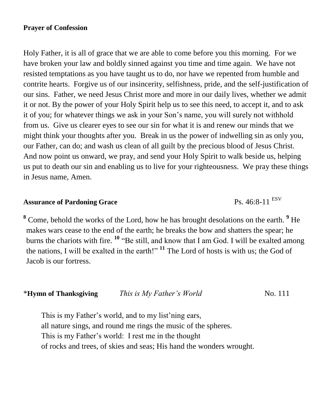## **Prayer of Confession**

Holy Father, it is all of grace that we are able to come before you this morning. For we have broken your law and boldly sinned against you time and time again. We have not resisted temptations as you have taught us to do, nor have we repented from humble and contrite hearts. Forgive us of our insincerity, selfishness, pride, and the self-justification of our sins. Father, we need Jesus Christ more and more in our daily lives, whether we admit it or not. By the power of your Holy Spirit help us to see this need, to accept it, and to ask it of you; for whatever things we ask in your Son's name, you will surely not withhold from us. Give us clearer eyes to see our sin for what it is and renew our minds that we might think your thoughts after you. Break in us the power of indwelling sin as only you, our Father, can do; and wash us clean of all guilt by the precious blood of Jesus Christ. And now point us onward, we pray, and send your Holy Spirit to walk beside us, helping us put to death our sin and enabling us to live for your righteousness. We pray these things in Jesus name, Amen.

# **Assurance of Pardoning Grace** Ps. 46:8-11 ESV

**<sup>8</sup>** Come, behold the works of the Lord, how he has brought desolations on the earth. **<sup>9</sup>** He makes wars cease to the end of the earth; he breaks the bow and shatters the spear; he burns the chariots with fire. **<sup>10</sup>** "Be still, and know that I am God. I will be exalted among the nations, I will be exalted in the earth!" **<sup>11</sup>** The Lord of hosts is with us; the God of Jacob is our fortress.

| *Hymn of Thanksgiving | This is My Father's World | No. 111 |
|-----------------------|---------------------------|---------|
|-----------------------|---------------------------|---------|

This is my Father's world, and to my list'ning ears, all nature sings, and round me rings the music of the spheres. This is my Father's world: I rest me in the thought of rocks and trees, of skies and seas; His hand the wonders wrought.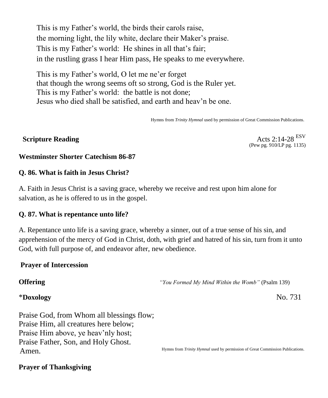This is my Father's world, the birds their carols raise, the morning light, the lily white, declare their Maker's praise. This is my Father's world: He shines in all that's fair; in the rustling grass I hear Him pass, He speaks to me everywhere.

This is my Father's world, O let me ne'er forget that though the wrong seems oft so strong, God is the Ruler yet. This is my Father's world: the battle is not done; Jesus who died shall be satisfied, and earth and heav'n be one.

Hymns from *Trinity Hymnal* used by permission of Great Commission Publications.

**Scripture Reading** Acts 2:14-28 ESV (Pew pg. 910/LP pg. 1135)

#### **Westminster Shorter Catechism 86-87**

### **Q. 86. What is faith in Jesus Christ?**

A. Faith in Jesus Christ is a saving grace, whereby we receive and rest upon him alone for salvation, as he is offered to us in the gospel.

#### **Q. 87. What is repentance unto life?**

A. Repentance unto life is a saving grace, whereby a sinner, out of a true sense of his sin, and apprehension of the mercy of God in Christ, doth, with grief and hatred of his sin, turn from it unto God, with full purpose of, and endeavor after, new obedience.

#### **Prayer of Intercession**

**Offering** *"You Formed My Mind Within the Womb"* (Psalm 139)

### \***Doxology** No. 731

Praise God, from Whom all blessings flow; Praise Him, all creatures here below; Praise Him above, ye heav'nly host; Praise Father, Son, and Holy Ghost. Amen.

Hymns from *Trinity Hymnal* used by permission of Great Commission Publications.

#### **Prayer of Thanksgiving**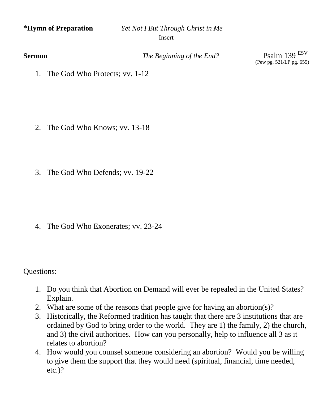**\*Hymn of Preparation** *Yet Not I But Through Christ in Me* Insert

**Sermon** *The Beginning of the End?* Psalm 139 <sup>ESV</sup>

(Pew pg. 521/LP pg. 655)

1. The God Who Protects; vv. 1-12

- 2. The God Who Knows; vv. 13-18
- 3. The God Who Defends; vv. 19-22

4. The God Who Exonerates; vv. 23-24

Questions:

- 1. Do you think that Abortion on Demand will ever be repealed in the United States? Explain.
- 2. What are some of the reasons that people give for having an abortion(s)?
- 3. Historically, the Reformed tradition has taught that there are 3 institutions that are ordained by God to bring order to the world. They are 1) the family, 2) the church, and 3) the civil authorities. How can you personally, help to influence all 3 as it relates to abortion?
- 4. How would you counsel someone considering an abortion? Would you be willing to give them the support that they would need (spiritual, financial, time needed, etc.)?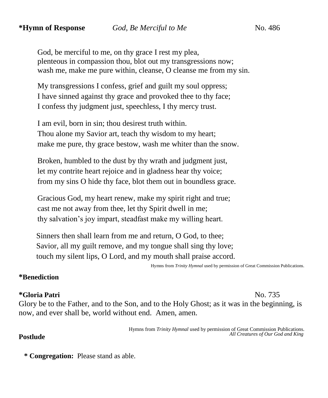God, be merciful to me, on thy grace I rest my plea, plenteous in compassion thou, blot out my transgressions now; wash me, make me pure within, cleanse, O cleanse me from my sin.

My transgressions I confess, grief and guilt my soul oppress; I have sinned against thy grace and provoked thee to thy face; I confess thy judgment just, speechless, I thy mercy trust.

I am evil, born in sin; thou desirest truth within. Thou alone my Savior art, teach thy wisdom to my heart; make me pure, thy grace bestow, wash me whiter than the snow.

Broken, humbled to the dust by thy wrath and judgment just, let my contrite heart rejoice and in gladness hear thy voice; from my sins O hide thy face, blot them out in boundless grace.

Gracious God, my heart renew, make my spirit right and true; cast me not away from thee, let thy Spirit dwell in me; thy salvation's joy impart, steadfast make my willing heart.

 Sinners then shall learn from me and return, O God, to thee; Savior, all my guilt remove, and my tongue shall sing thy love; touch my silent lips, O Lord, and my mouth shall praise accord.

Hymns from *Trinity Hymnal* used by permission of Great Commission Publications.

# **\*Benediction**

#### **\*Gloria Patri** No. 735

Glory be to the Father, and to the Son, and to the Holy Ghost; as it was in the beginning, is now, and ever shall be, world without end. Amen, amen.

> Hymns from *Trinity Hymnal* used by permission of Great Commission Publications. *All Creatures of Our God and King*

#### **Postlude**

**\* Congregation:** Please stand as able.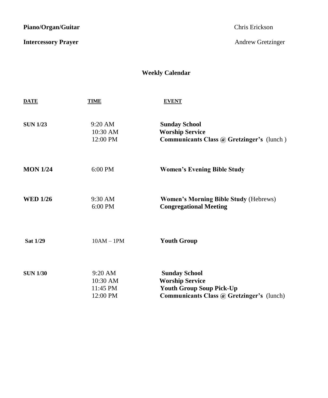Piano/Organ/Guitar **Chris Exception Chris Except** Chris Erickson

**Intercessory Prayer** Andrew Gretzinger

# **Weekly Calendar**

| <b>DATE</b>     | <b>TIME</b>                                   | <b>EVENT</b>                                                                                                                          |
|-----------------|-----------------------------------------------|---------------------------------------------------------------------------------------------------------------------------------------|
| <b>SUN 1/23</b> | $9:20 \text{ AM}$<br>$10:30$ AM<br>12:00 PM   | <b>Sunday School</b><br><b>Worship Service</b><br>Communicants Class @ Gretzinger's (lunch)                                           |
| <b>MON 1/24</b> | $6:00$ PM                                     | <b>Women's Evening Bible Study</b>                                                                                                    |
| <b>WED 1/26</b> | $9:30 \text{ AM}$<br>6:00 PM                  | <b>Women's Morning Bible Study (Hebrews)</b><br><b>Congregational Meeting</b>                                                         |
| <b>Sat 1/29</b> | $10AM - 1PM$                                  | <b>Youth Group</b>                                                                                                                    |
| <b>SUN 1/30</b> | $9:20$ AM<br>10:30 AM<br>11:45 PM<br>12:00 PM | <b>Sunday School</b><br><b>Worship Service</b><br><b>Youth Group Soup Pick-Up</b><br><b>Communicants Class @ Gretzinger's (lunch)</b> |